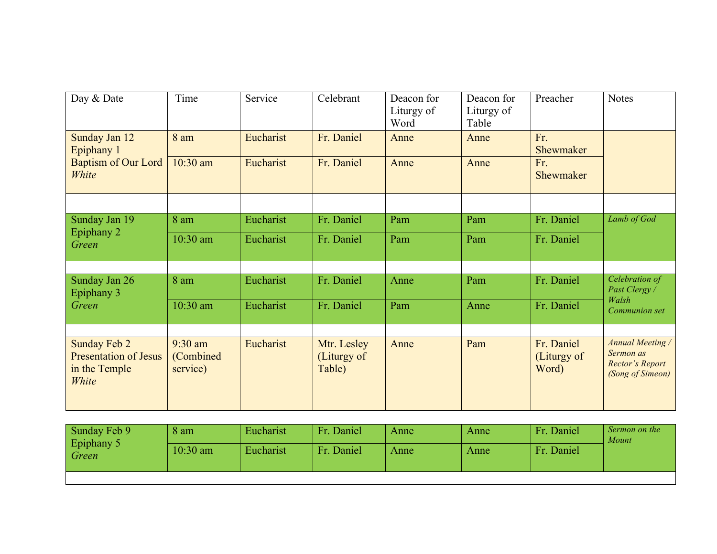| Day & Date                                                                    | Time                                | Service   | Celebrant                            | Deacon for<br>Liturgy of<br>Word | Deacon for<br>Liturgy of<br>Table | Preacher                           | <b>Notes</b>                                                                |
|-------------------------------------------------------------------------------|-------------------------------------|-----------|--------------------------------------|----------------------------------|-----------------------------------|------------------------------------|-----------------------------------------------------------------------------|
| Sunday Jan 12<br>Epiphany 1                                                   | 8 am                                | Eucharist | Fr. Daniel                           | Anne                             | Anne                              | Fr.<br>Shewmaker                   |                                                                             |
| <b>Baptism of Our Lord</b><br>White                                           | $10:30$ am                          | Eucharist | Fr. Daniel                           | Anne                             | Anne                              | Fr.<br>Shewmaker                   |                                                                             |
|                                                                               |                                     |           |                                      |                                  |                                   |                                    |                                                                             |
| Sunday Jan 19                                                                 | 8 am                                | Eucharist | Fr. Daniel                           | Pam                              | Pam                               | Fr. Daniel                         | Lamb of God                                                                 |
| Epiphany 2<br>Green                                                           | 10:30 am                            | Eucharist | Fr. Daniel                           | Pam                              | Pam                               | Fr. Daniel                         |                                                                             |
|                                                                               |                                     |           |                                      |                                  |                                   |                                    |                                                                             |
| Sunday Jan 26<br>Epiphany 3                                                   | 8 am                                | Eucharist | Fr. Daniel                           | Anne                             | Pam                               | Fr. Daniel                         | Celebration of<br>Past Clergy /                                             |
| Green                                                                         | $10:30$ am                          | Eucharist | Fr. Daniel                           | Pam                              | Anne                              | Fr. Daniel                         | Walsh<br>Communion set                                                      |
|                                                                               |                                     |           |                                      |                                  |                                   |                                    |                                                                             |
| <b>Sunday Feb 2</b><br><b>Presentation of Jesus</b><br>in the Temple<br>White | $9:30$ am<br>(Combined)<br>service) | Eucharist | Mtr. Lesley<br>(Liturgy of<br>Table) | Anne                             | Pam                               | Fr. Daniel<br>(Liturgy of<br>Word) | <b>Annual Meeting /</b><br>Sermon as<br>Rector's Report<br>(Song of Simeon) |

| Sunday Feb 9               | 8 am       | Eucharist | Fr. Daniel | Anne | Anne | Fr. Daniel | Sermon on the<br>Mount |
|----------------------------|------------|-----------|------------|------|------|------------|------------------------|
| <b>Epiphany 5</b><br>Green | $10:30$ am | Eucharist | Fr. Daniel | Anne | Anne | Fr. Daniel |                        |
|                            |            |           |            |      |      |            |                        |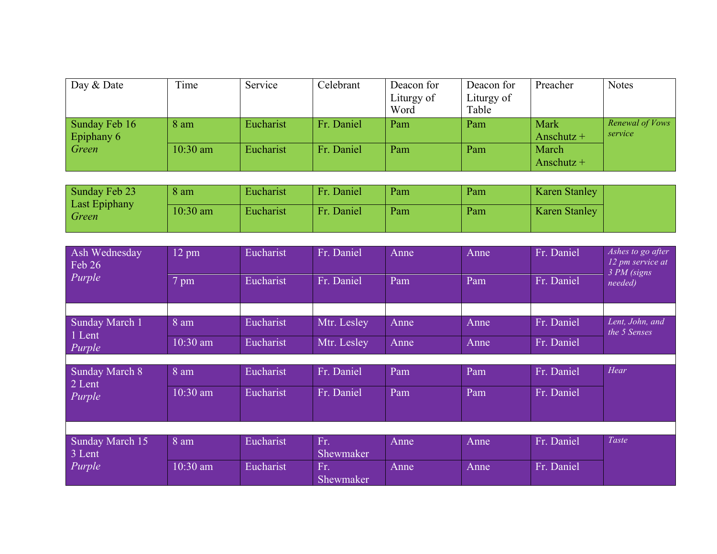| Day & Date    | Time       | Service   | Celebrant  | Deacon for | Deacon for | Preacher     | <b>Notes</b>    |
|---------------|------------|-----------|------------|------------|------------|--------------|-----------------|
|               |            |           |            | Liturgy of | Liturgy of |              |                 |
|               |            |           |            | Word       | Table      |              |                 |
| Sunday Feb 16 | 8 am       | Eucharist | Fr. Daniel | Pam        | Pam        | Mark         | Renewal of Vows |
| Epiphany 6    |            |           |            |            |            | Anschutz $+$ | service         |
| Green         | $10:30$ am | Eucharist | Fr. Daniel | Pam        | Pam        | March        |                 |
|               |            |           |            |            |            | Anschutz $+$ |                 |

| Sunday Feb 23<br>Last Epiphany | 8 am       | Eucharist | Fr. Daniel | Pam | Pam | <b>Karen Stanley</b> |
|--------------------------------|------------|-----------|------------|-----|-----|----------------------|
| Green                          | $10:30$ am | Eucharist | Fr. Daniel | Pam | Pam | <b>Karen Stanley</b> |

| Ash Wednesday<br>Feb 26<br>Purple | $12$ pm<br>7 pm | Eucharist<br>Eucharist | Fr. Daniel<br>Fr. Daniel | Anne<br>Pam | Anne<br>Pam | Fr. Daniel<br>Fr. Daniel | Ashes to go after<br>12 pm service at<br>3 PM (signs<br>needed) |
|-----------------------------------|-----------------|------------------------|--------------------------|-------------|-------------|--------------------------|-----------------------------------------------------------------|
|                                   |                 |                        |                          |             |             |                          |                                                                 |
|                                   |                 |                        |                          |             |             |                          |                                                                 |
| Sunday March 1<br>1 Lent          | 8 am            | Eucharist              | Mtr. Lesley              | Anne        | Anne        | Fr. Daniel               | Lent, John, and<br>the 5 Senses                                 |
| Purple                            | $10:30$ am      | Eucharist              | Mtr. Lesley              | Anne        | Anne        | Fr. Daniel               |                                                                 |
|                                   |                 |                        |                          |             |             |                          |                                                                 |
| Sunday March 8<br>2 Lent          | 8 am            | Eucharist              | Fr. Daniel               | Pam         | Pam         | Fr. Daniel               | Hear                                                            |
| Purple                            | $10:30$ am      | Eucharist              | Fr. Daniel               | Pam         | Pam         | Fr. Daniel               |                                                                 |
|                                   |                 |                        |                          |             |             |                          |                                                                 |
|                                   |                 |                        |                          |             |             |                          |                                                                 |
| Sunday March 15                   | 8 am            | Eucharist              | Fr.                      | Anne        | Anne        | Fr. Daniel               | Taste                                                           |
| 3 Lent                            |                 |                        | Shewmaker                |             |             |                          |                                                                 |
| Purple                            | $10:30$ am      | Eucharist              | Fr.                      | Anne        | Anne        | Fr. Daniel               |                                                                 |
|                                   |                 |                        | Shewmaker                |             |             |                          |                                                                 |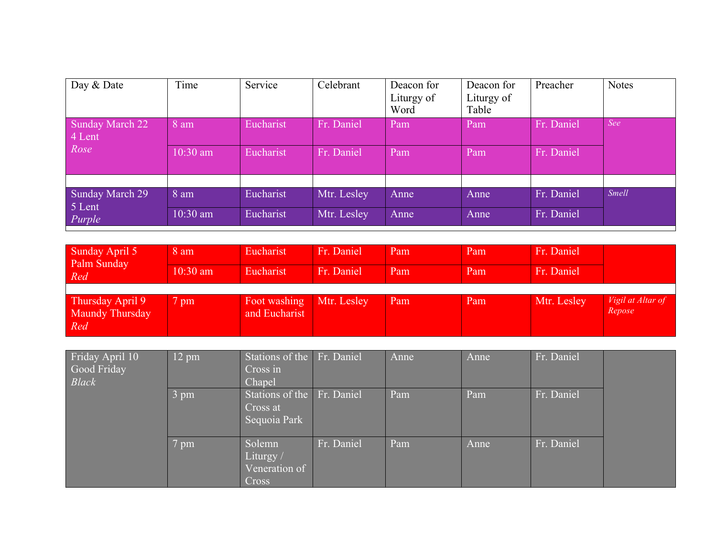| Day & Date                       | Time       | Service   | Celebrant   | Deacon for<br>Liturgy of<br>Word | Deacon for<br>Liturgy of<br>Table | Preacher   | <b>Notes</b> |
|----------------------------------|------------|-----------|-------------|----------------------------------|-----------------------------------|------------|--------------|
| <b>Sunday March 22</b><br>4 Lent | 8 am       | Eucharist | Fr. Daniel  | Pam                              | Pam                               | Fr. Daniel | See          |
| Rose                             | $10:30$ am | Eucharist | Fr. Daniel  | Pam                              | Pam                               | Fr. Daniel |              |
|                                  |            |           |             |                                  |                                   |            |              |
| <b>Sunday March 29</b><br>5 Lent | 8 am       | Eucharist | Mtr. Lesley | Anne                             | Anne                              | Fr. Daniel | <b>Smell</b> |
| Purple                           | 10:30 am   | Eucharist | Mtr. Lesley | Anne                             | Anne                              | Fr. Daniel |              |

| Sunday April 5<br>Palm Sunday              | 8 am           | Eucharist                     | Fr. Daniel  | Pam | Pam | Fr. Daniel  |                             |
|--------------------------------------------|----------------|-------------------------------|-------------|-----|-----|-------------|-----------------------------|
| Red                                        | $10:30$ am     | Eucharist                     | Fr. Daniel  | Pam | Pam | Fr. Daniel  |                             |
|                                            |                |                               |             |     |     |             |                             |
| Thursday April 9<br>Maundy Thursday<br>Red | $7 \text{ pm}$ | Foot washing<br>and Eucharist | Mtr. Lesley | Pam | Pam | Mtr. Lesley | Vigil at Altar of<br>Repose |

| Friday April 10<br>Good Friday<br><b>Black</b> | $12 \text{ pm}$ | Stations of the Fr. Daniel<br>Cross in<br>Chapel       |            | Anne | Anne | Fr. Daniel |  |
|------------------------------------------------|-----------------|--------------------------------------------------------|------------|------|------|------------|--|
|                                                | 3 pm            | Stations of the Fr. Daniel<br>Cross at<br>Sequoia Park |            | Pam  | Pam  | Fr. Daniel |  |
|                                                | 7 pm            | Solemn<br>Liturgy/<br>Veneration of<br>Cross           | Fr. Daniel | Pam  | Anne | Fr. Daniel |  |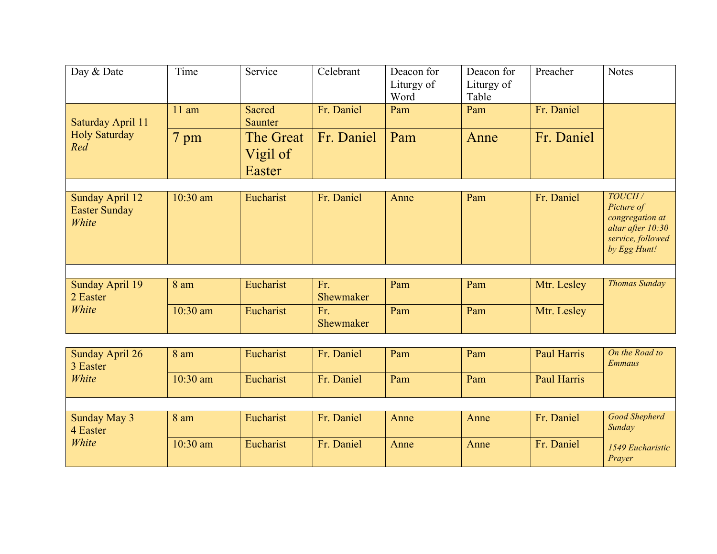| Day & Date                                       | Time       | Service                         | Celebrant        | Deacon for<br>Liturgy of<br>Word | Deacon for<br>Liturgy of<br>Table | Preacher    | <b>Notes</b>                                                                                      |
|--------------------------------------------------|------------|---------------------------------|------------------|----------------------------------|-----------------------------------|-------------|---------------------------------------------------------------------------------------------------|
| Saturday April 11                                | $11$ am    | Sacred<br>Saunter               | Fr. Daniel       | Pam                              | Pam                               | Fr. Daniel  |                                                                                                   |
| <b>Holy Saturday</b><br>Red                      | 7 pm       | The Great<br>Vigil of<br>Easter | Fr. Daniel       | Pam                              | Anne                              | Fr. Daniel  |                                                                                                   |
|                                                  |            |                                 |                  |                                  |                                   |             |                                                                                                   |
| Sunday April 12<br><b>Easter Sunday</b><br>White | $10:30$ am | Eucharist                       | Fr. Daniel       | Anne                             | Pam                               | Fr. Daniel  | TOUCH/<br>Picture of<br>congregation at<br>altar after 10:30<br>service, followed<br>by Egg Hunt! |
|                                                  |            |                                 |                  |                                  |                                   |             |                                                                                                   |
| <b>Sunday April 19</b><br>2 Easter               | 8 am       | Eucharist                       | Fr.<br>Shewmaker | Pam                              | Pam                               | Mtr. Lesley | <b>Thomas Sunday</b>                                                                              |
| White                                            | 10:30 am   | Eucharist                       | Fr.<br>Shewmaker | Pam                              | Pam                               | Mtr. Lesley |                                                                                                   |

| Sunday April 26<br>3 Easter | 8 am       | Eucharist | Fr. Daniel | Pam  | Pam  | Paul Harris | On the Road to<br>Emmaus       |
|-----------------------------|------------|-----------|------------|------|------|-------------|--------------------------------|
| White                       | $10:30$ am | Eucharist | Fr. Daniel | Pam  | Pam  | Paul Harris |                                |
|                             |            |           |            |      |      |             |                                |
| Sunday May 3<br>4 Easter    | 8 am       | Eucharist | Fr. Daniel | Anne | Anne | Fr. Daniel  | <b>Good Shepherd</b><br>Sunday |
| White                       | $10:30$ am | Eucharist | Fr. Daniel | Anne | Anne | Fr. Daniel  | 1549 Eucharistic<br>Prayer     |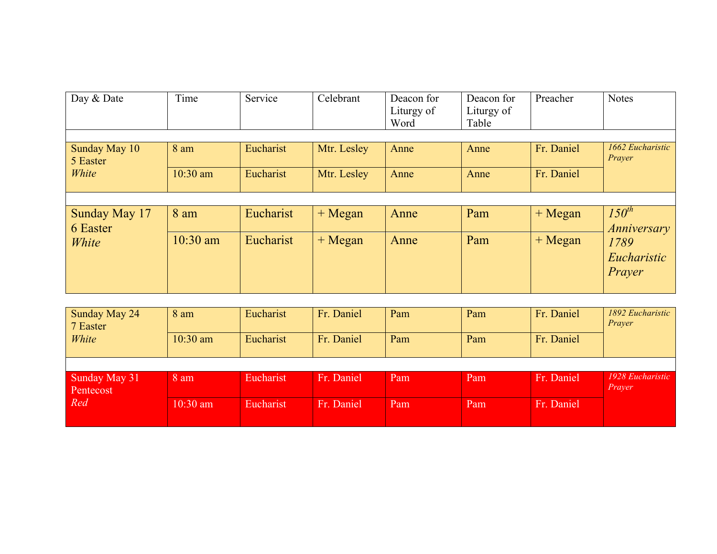| Day & Date                         | Time               | Service                | Celebrant                  | Deacon for<br>Liturgy of<br>Word | Deacon for<br>Liturgy of<br>Table | Preacher                 | <b>Notes</b>                     |
|------------------------------------|--------------------|------------------------|----------------------------|----------------------------------|-----------------------------------|--------------------------|----------------------------------|
| Sunday May 10<br>5 Easter<br>White | 8 am<br>$10:30$ am | Eucharist<br>Eucharist | Mtr. Lesley<br>Mtr. Lesley | Anne<br>Anne                     | Anne<br>Anne                      | Fr. Daniel<br>Fr. Daniel | 1662 Eucharistic<br>Prayer       |
|                                    |                    |                        |                            |                                  |                                   |                          |                                  |
| Sunday May 17<br>6 Easter          | 8 am               | Eucharist              | $+ Megan$                  | Anne                             | Pam                               | $+ Megan$                | $150^{th}$<br><i>Anniversary</i> |
| White                              | $10:30$ am         | Eucharist              | $+ Megan$                  | Anne                             | Pam                               | + Megan                  | 1789<br>Eucharistic<br>Prayer    |

| Sunday May 24<br>7 Easter         | 8 am       | Eucharist | Fr. Daniel | Pam | Pam | Fr. Daniel | 1892 Eucharistic<br>Prayer |
|-----------------------------------|------------|-----------|------------|-----|-----|------------|----------------------------|
| White                             | $10:30$ am | Eucharist | Fr. Daniel | Pam | Pam | Fr. Daniel |                            |
|                                   |            |           |            |     |     |            |                            |
|                                   |            |           |            |     |     |            |                            |
| Sunday May 31<br>Pentecost<br>Red | 8 am       | Eucharist | Fr. Daniel | Pam | Pam | Fr. Daniel | 1928 Eucharistic<br>Prayer |